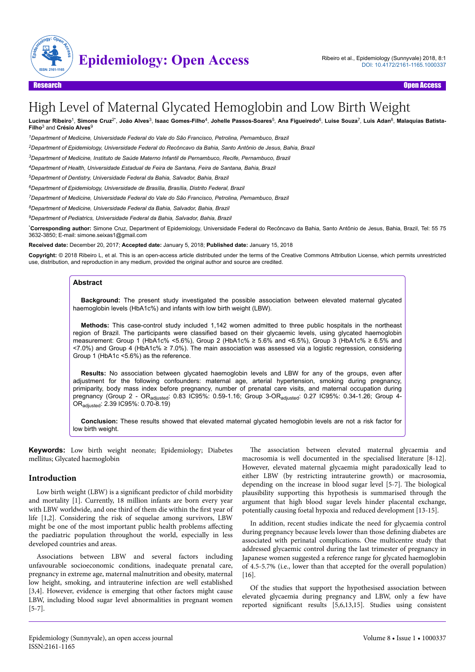

# High Level of Maternal Glycated Hemoglobin and Low Birth Weight

Lucimar Ribeiro<sup>1</sup>, Simone Cruz<sup>2∗</sup>, João Alves<sup>3</sup>, Isaac Gomes-Filho<sup>4</sup>, Johelle Passos-Soares<sup>5</sup>, Ana Figueiredo<sup>6</sup>, Luise Souza<sup>7</sup>, Luis Adan<sup>8</sup>, Malaquias Batista-**Filho**<sup>3</sup> and **Crésio Alves**<sup>9</sup>

*<sup>1</sup>Department of Medicine, Universidade Federal do Vale do São Francisco, Petrolina, Pernambuco, Brazil*

*<sup>2</sup>Department of Epidemiology, Universidade Federal do Recôncavo da Bahia, Santo Antônio de Jesus, Bahia, Brazil*

*<sup>3</sup>Department of Medicine, Instituto de Saúde Materno Infantil de Pernambuco, Recife, Pernambuco, Brazil*

*<sup>4</sup>Department of Health, Universidade Estadual de Feira de Santana, Feira de Santana, Bahia, Brazil*

*<sup>5</sup>Department of Dentistry, Universidade Federal da Bahia, Salvador, Bahia, Brazil*

*<sup>6</sup>Department of Epidemiology, Universidade de Brasília, Brasília, Distrito Federal, Brazil*

*<sup>7</sup>Department of Medicine, Universidade Federal do Vale do São Francisco, Petrolina, Pernambuco, Brazil*

*<sup>8</sup>Department of Medicine, Universidade Federal da Bahia, Salvador, Bahia, Brazil*

*<sup>9</sup>Department of Pediatrics, Universidade Federal da Bahia, Salvador, Bahia, Brazil*

\***Corresponding author:** Simone Cruz, Department of Epidemiology, Universidade Federal do Recôncavo da Bahia, Santo Antônio de Jesus, Bahia, Brazil, Tel: 55 75 3632-3850; E-mail: simone.seixas1@gmail.com

**Received date:** December 20, 2017; **Accepted date:** January 5, 2018; **Published date:** January 15, 2018

**Copyright:** © 2018 Ribeiro L, et al. This is an open-access article distributed under the terms of the Creative Commons Attribution License, which permits unrestricted use, distribution, and reproduction in any medium, provided the original author and source are credited.

## **Abstract**

**Background:** The present study investigated the possible association between elevated maternal glycated haemoglobin levels (HbA1c%) and infants with low birth weight (LBW).

**Methods:** This case-control study included 1,142 women admitted to three public hospitals in the northeast region of Brazil. The participants were classified based on their glycaemic levels, using glycated haemoglobin measurement: Group 1 (HbA1c% <5.6%), Group 2 (HbA1c% ≥ 5.6% and <6.5%), Group 3 (HbA1c% ≥ 6.5% and <7.0%) and Group 4 (HbA1c% ≥ 7.0%). The main association was assessed via a logistic regression, considering Group 1 (HbA1c <5.6%) as the reference.

**Results:** No association between glycated haemoglobin levels and LBW for any of the groups, even after adjustment for the following confounders: maternal age, arterial hypertension, smoking during pregnancy, primiparity, body mass index before pregnancy, number of prenatal care visits, and maternal occupation during pregnancy (Group 2 - ORadjusted: 0.83 IC95%: 0.59-1.16; Group 3-ORadjusted: 0.27 IC95%: 0.34-1.26; Group 4-ORadjusted: 2.39 IC95%: 0.70-8.19)

**Conclusion:** These results showed that elevated maternal glycated hemoglobin levels are not a risk factor for low birth weight.

**Keywords:** Low birth weight neonate; Epidemiology; Diabetes mellitus; Glycated haemoglobin

### **Introduction**

Low birth weight (LBW) is a significant predictor of child morbidity and mortality [1]. Currently, 18 million infants are born every year with LBW worldwide, and one third of them die within the first year of life [1,2]. Considering the risk of sequelae among survivors, LBW might be one of the most important public health problems affecting the paediatric population throughout the world, especially in less developed countries and areas.

Associations between LBW and several factors including unfavourable socioeconomic conditions, inadequate prenatal care, pregnancy in extreme age, maternal malnutrition and obesity, maternal low height, smoking, and intrauterine infection are well established [3,4]. However, evidence is emerging that other factors might cause LBW, including blood sugar level abnormalities in pregnant women [5-7].

The association between elevated maternal glycaemia and macrosomia is well documented in the specialised literature [8-12]. However, elevated maternal glycaemia might paradoxically lead to either LBW (by restricting intrauterine growth) or macrosomia, depending on the increase in blood sugar level [5-7]. Нe biological plausibility supporting this hypothesis is summarised through the argument that high blood sugar levels hinder placental exchange, potentially causing foetal hypoxia and reduced development [13-15].

In addition, recent studies indicate the need for glycaemia control during pregnancy because levels lower than those defining diabetes are associated with perinatal complications. One multicentre study that addressed glycaemic control during the last trimester of pregnancy in Japanese women suggested a reference range for glycated haemoglobin of 4.5-5.7% (i.e., lower than that accepted for the overall population) [16].

Of the studies that support the hypothesised association between elevated glycaemia during pregnancy and LBW, only a few have reported significant results [5,6,13,15]. Studies using consistent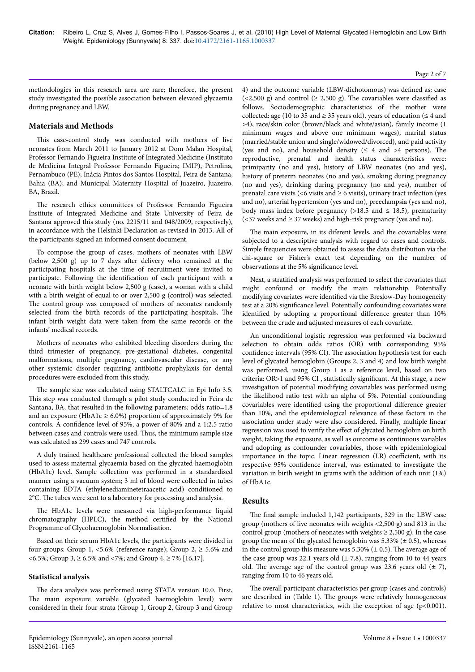methodologies in this research area are rare; therefore, the present study investigated the possible association between elevated glycaemia during pregnancy and LBW.

## **Materials and Methods**

This case-control study was conducted with mothers of live neonates from March 2011 to January 2012 at Dom Malan Hospital, Professor Fernando Figueira Institute of Integrated Medicine (Instituto de Medicina Integral Professor Fernando Figueira; IMIP), Petrolina, Pernambuco (PE); Inácia Pintos dos Santos Hospital, Feira de Santana, Bahia (BA); and Municipal Maternity Hospital of Juazeiro, Juazeiro, BA, Brazil.

The research ethics committees of Professor Fernando Figueira Institute of Integrated Medicine and State University of Feira de Santana approved this study (no. 2215/11 and 048/2009, respectively), in accordance with the Helsinki Declaration as revised in 2013. All of the participants signed an informed consent document.

To compose the group of cases, mothers of neonates with LBW (below  $2,500$  g) up to  $7$  days after delivery who remained at the participating hospitals at the time of recruitment were invited to participate. Following the identification of each participant with a neonate with birth weight below 2,500 g (case), a woman with a child with a birth weight of equal to or over 2,500 g (control) was selected. The control group was composed of mothers of neonates randomly selected from the birth records of the participating hospitals. Нe infant birth weight data were taken from the same records or the infants' medical records.

Mothers of neonates who exhibited bleeding disorders during the third trimester of pregnancy, pre-gestational diabetes, congenital malformations, multiple pregnancy, cardiovascular disease, or any other systemic disorder requiring antibiotic prophylaxis for dental procedures were excluded from this study.

The sample size was calculated using STALTCALC in Epi Info 3.5. This step was conducted through a pilot study conducted in Feira de Santana, BA, that resulted in the following parameters: odds ratio=1.8 and an exposure (HbA1c  $\geq$  6.0%) proportion of approximately 9% for controls. A confidence level of 95%, a power of 80% and a 1:2.5 ratio between cases and controls were used. Нus, the minimum sample size was calculated as 299 cases and 747 controls.

A duly trained healthcare professional collected the blood samples used to assess maternal glycaemia based on the glycated haemoglobin (HbA1c) level. Sample collection was performed in a standardised manner using a vacuum system; 3 ml of blood were collected in tubes containing EDTA (ethylenediaminetetraacetic acid) conditioned to 2°C. Нe tubes were sent to a laboratory for processing and analysis.

The HbA1c levels were measured via high-performance liquid chromatography (HPLC), the method certified by the National Programme of Glycohaemoglobin Normalisation.

Based on their serum HbA1c levels, the participants were divided in four groups: Group 1, <5.6% (reference range); Group  $2$ ,  $\geq$  5.6% and <6.5%; Group 3,  $\geq$  6.5% and <7%; and Group 4,  $\geq$  7% [16,17].

## **Statistical analysis**

The data analysis was performed using STATA version 10.0. First, The main exposure variable (glycated haemoglobin level) were considered in their four strata (Group 1, Group 2, Group 3 and Group

4) and the outcome variable (LBW-dichotomous) was defined as: case  $(<2,500 \text{ g})$  and control  $(\geq 2,500 \text{ g})$ . The covariables were classified as follows. Sociodemographic characteristics of the mother were collected: age (10 to 35 and  $\geq$  35 years old), years of education ( $\leq$  4 and >4), race/skin color (brown/black and white/asian), family income (1 minimum wages and above one minimum wages), marital status (married/stable union and single/widowed/divorced), and paid activity (yes and no), and household density ( $\leq 4$  and  $>4$  persons). The reproductive, prenatal and health status characteristics were: primiparity (no and yes), history of LBW neonates (no and yes), history of preterm neonates (no and yes), smoking during pregnancy (no and yes), drinking during pregnancy (no and yes), number of prenatal care visits (<6 visits and  $\geq$  6 visits), urinary tract infection (yes and no), arterial hypertension (yes and no), preeclampsia (yes and no), body mass index before pregnancy (>18.5 and  $\leq$  18.5), prematurity (<37 weeks and ≥ 37 weeks) and high-risk pregnancy (yes and no).

The main exposure, in its diferent levels, and the covariables were subjected to a descriptive analysis with regard to cases and controls. Simple frequencies were obtained to assess the data distribution via the chi-square or Fisher's exact test depending on the number of observations at the 5% significance level.

Next, a stratified analysis was performed to select the covariates that might confound or modify the main relationship. Potentially modifying covariates were identified via the Breslow-Day homogeneity test at a 20% significance level. Potentially confounding covariates were identified by adopting a proportional difference greater than 10% between the crude and adjusted measures of each covariate.

An unconditional logistic regression was performed via backward selection to obtain odds ratios (OR) with corresponding 95% confidence intervals (95% CI). Нe association hypothesis test for each level of glycated hemoglobin (Groups 2, 3 and 4) and low birth weight was performed, using Group 1 as a reference level, based on two criteria: OR>1 and 95% CI, statistically significant. At this stage, a new investigation of potential modifying covariables was performed using the likelihood ratio test with an alpha of 5%. Potential confounding covariables were identified using the proportional difference greater than 10%, and the epidemiological relevance of these factors in the association under study were also considered. Finally, multiple linear regression was used to verify the effect of glycated hemoglobin on birth weight, taking the exposure, as well as outcome as continuous variables and adopting as confounder covariables, those with epidemiological importance in the topic. Linear regression (LR) coefficient, with its respective 95% confidence interval, was estimated to investigate the variation in birth weight in grams with the addition of each unit (1%) of HbA1c.

## **Results**

The final sample included 1,142 participants, 329 in the LBW case group (mothers of live neonates with weights <2,500 g) and 813 in the control group (mothers of neonates with weights  $\geq 2,500$  g). In the case group the mean of the glycated hemoglobin was  $5.33\%$  ( $\pm$  0.5), whereas in the control group this measure was  $5.30\%$  ( $\pm$  0.5). The average age of the case group was 22.1 years old  $(\pm 7.8)$ , ranging from 10 to 44 years old. The average age of the control group was 23.6 years old  $(\pm 7)$ , ranging from 10 to 46 years old.

The overall participant characteristics per group (cases and controls) are described in (Table 1). Нe groups were relatively homogeneous relative to most characteristics, with the exception of age (p<0.001).

### Page 2 of 7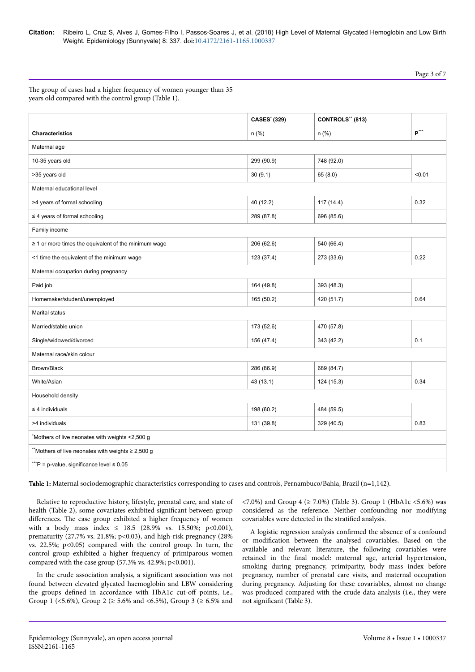# Page 3 of 7

The group of cases had a higher frequency of women younger than 35 years old compared with the control group (Table 1).

|                                                      | <b>CASES<sup>*</sup> (329)</b> | CONTROLS" (813) |        |  |  |
|------------------------------------------------------|--------------------------------|-----------------|--------|--|--|
| <b>Characteristics</b>                               | $n$ (%)                        | $n$ (%)         | $P***$ |  |  |
| Maternal age                                         |                                |                 |        |  |  |
| 10-35 years old                                      | 299 (90.9)                     | 748 (92.0)      |        |  |  |
| >35 years old                                        | 30(9.1)                        | 65(8.0)         | < 0.01 |  |  |
| Maternal educational level                           |                                |                 |        |  |  |
| >4 years of formal schooling                         | 40 (12.2)                      | 117 (14.4)      | 0.32   |  |  |
| $\leq$ 4 years of formal schooling                   | 289 (87.8)                     | 696 (85.6)      |        |  |  |
| Family income                                        |                                |                 |        |  |  |
| ≥ 1 or more times the equivalent of the minimum wage | 206 (62.6)                     | 540 (66.4)      |        |  |  |
| <1 time the equivalent of the minimum wage           | 123 (37.4)                     | 273 (33.6)      | 0.22   |  |  |
| Maternal occupation during pregnancy                 |                                |                 |        |  |  |
| Paid job                                             | 164 (49.8)                     | 393 (48.3)      |        |  |  |
| Homemaker/student/unemployed                         | 165 (50.2)                     | 420 (51.7)      | 0.64   |  |  |
| <b>Marital status</b>                                |                                |                 |        |  |  |
| Married/stable union                                 | 173 (52.6)                     | 470 (57.8)      |        |  |  |
| Single/widowed/divorced                              | 156 (47.4)                     | 343 (42.2)      | 0.1    |  |  |
| Maternal race/skin colour                            |                                |                 |        |  |  |
| Brown/Black                                          | 286 (86.9)                     | 689 (84.7)      |        |  |  |
| White/Asian                                          | 43 (13.1)                      | 124 (15.3)      | 0.34   |  |  |
| Household density                                    |                                |                 |        |  |  |
| $\leq$ 4 individuals                                 | 198 (60.2)                     | 484 (59.5)      |        |  |  |
| >4 individuals                                       | 131 (39.8)                     | 329 (40.5)      | 0.83   |  |  |
| *Mothers of live neonates with weights <2,500 g      |                                |                 |        |  |  |
| **Mothers of live neonates with weights ≥ 2,500 g    |                                |                 |        |  |  |
| ***P = p-value, significance level $\leq 0.05$       |                                |                 |        |  |  |

Table 1: Maternal sociodemographic characteristics corresponding to cases and controls, Pernambuco/Bahia, Brazil (n=1,142).

Relative to reproductive history, lifestyle, prenatal care, and state of health (Table 2), some covariates exhibited significant between-group differences. The case group exhibited a higher frequency of women with a body mass index  $\leq$  18.5 (28.9% vs. 15.50%; p<0.001), prematurity (27.7% vs. 21.8%; p<0.03), and high-risk pregnancy (28% vs. 22.5%;  $p<0.05$ ) compared with the control group. In turn, the control group exhibited a higher frequency of primiparous women compared with the case group  $(57.3\% \text{ vs. } 42.9\%; \text{ p} < 0.001)$ .

In the crude association analysis, a significant association was not found between elevated glycated haemoglobin and LBW considering the groups defined in accordance with HbA1c cut-off points, i.e., Group 1 (<5.6%), Group 2 ( $\geq$  5.6% and <6.5%), Group 3 ( $\geq$  6.5% and

<7.0%) and Group 4 ( $\geq$  7.0%) (Table 3). Group 1 (HbA1c <5.6%) was considered as the reference. Neither confounding nor modifying covariables were detected in the stratified analysis.

A logistic regression analysis confirmed the absence of a confound or modification between the analysed covariables. Based on the available and relevant literature, the following covariables were retained in the final model: maternal age, arterial hypertension, smoking during pregnancy, primiparity, body mass index before pregnancy, number of prenatal care visits, and maternal occupation during pregnancy. Adjusting for these covariables, almost no change was produced compared with the crude data analysis (i.e., they were not significant (Table 3).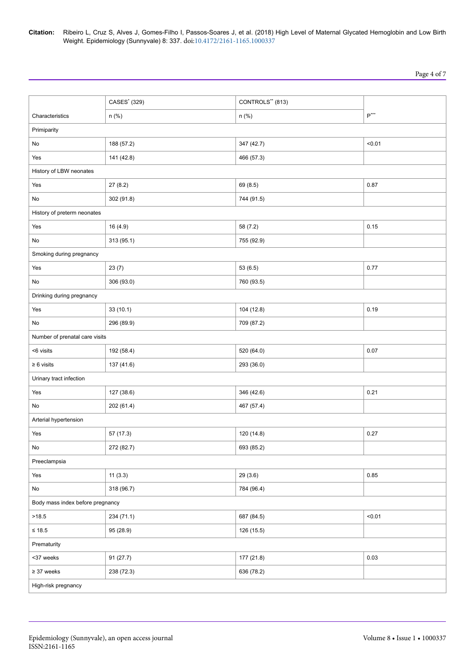**Citation:** Ribeiro L, Cruz S, Alves J, Gomes-Filho I, Passos-Soares J, et al. (2018) High Level of Maternal Glycated Hemoglobin and Low Birth Weight. Epidemiology (Sunnyvale) 8: 337. doi:10.4172/2161-1165.1000337

|                                  | CASES <sup>*</sup> (329) | CONTROLS** (813) |        |
|----------------------------------|--------------------------|------------------|--------|
| Characteristics                  | n (%)                    | n (%)            | $P***$ |
| Primiparity                      |                          |                  |        |
| No                               | 188 (57.2)               | 347 (42.7)       | < 0.01 |
| Yes                              | 141 (42.8)               | 466 (57.3)       |        |
| History of LBW neonates          |                          |                  |        |
| Yes                              | 27(8.2)                  | 69 (8.5)         | 0.87   |
| $\mathsf{No}$                    | 302 (91.8)               | 744 (91.5)       |        |
| History of preterm neonates      |                          |                  |        |
| Yes                              | 16 (4.9)                 | 58 (7.2)         | 0.15   |
| No                               | 313 (95.1)               | 755 (92.9)       |        |
| Smoking during pregnancy         |                          |                  |        |
| Yes                              | 23(7)                    | 53 (6.5)         | 0.77   |
| No                               | 306 (93.0)               | 760 (93.5)       |        |
| Drinking during pregnancy        |                          |                  |        |
| Yes                              | 33(10.1)                 | 104 (12.8)       | 0.19   |
| No                               | 296 (89.9)               | 709 (87.2)       |        |
| Number of prenatal care visits   |                          |                  |        |
| <6 visits                        | 192 (58.4)               | 520 (64.0)       | 0.07   |
| $\geq 6$ visits                  | 137 (41.6)               | 293 (36.0)       |        |
| Urinary tract infection          |                          |                  |        |
| Yes                              | 127 (38.6)               | 346 (42.6)       | 0.21   |
| No                               | 202 (61.4)               | 467 (57.4)       |        |
| Arterial hypertension            |                          |                  |        |
| Yes                              | 57 (17.3)                | 120 (14.8)       | 0.27   |
| No                               | 272 (82.7)               | 693 (85.2)       |        |
| Preeclampsia                     |                          |                  |        |
| Yes                              | 11(3.3)                  | 29 (3.6)         | 0.85   |
| $\operatorname{\mathsf{No}}$     | 318 (96.7)               | 784 (96.4)       |        |
| Body mass index before pregnancy |                          |                  |        |
| >18.5                            | 234 (71.1)               | 687 (84.5)       | < 0.01 |
| $\leq 18.5$                      | 95 (28.9)                | 126 (15.5)       |        |
| Prematurity                      |                          |                  |        |
| <37 weeks                        | 91 (27.7)                | 177 (21.8)       | 0.03   |
| $\geq 37$ weeks                  | 238 (72.3)               | 636 (78.2)       |        |
| High-risk pregnancy              |                          |                  |        |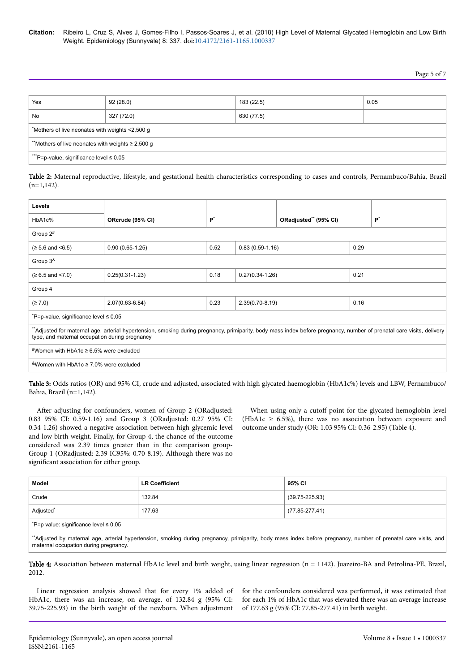# Page 5 of 7

| Yes                                                    | 92 (28.0)  | 183 (22.5) | 0.05 |
|--------------------------------------------------------|------------|------------|------|
| <b>No</b>                                              | 327 (72.0) | 630 (77.5) |      |
| Mothers of live neonates with weights <2,500 g         |            |            |      |
| **Mothers of live neonates with weights $\geq 2,500$ g |            |            |      |
| ***P=p-value, significance level $\leq 0.05$           |            |            |      |

Table 2: Maternal reproductive, lifestyle, and gestational health characteristics corresponding to cases and controls, Pernambuco/Bahia, Brazil  $(n=1,142)$ .

| Levels                                                                                                                                                                                                                 |                     |       |                   |                       |      |       |
|------------------------------------------------------------------------------------------------------------------------------------------------------------------------------------------------------------------------|---------------------|-------|-------------------|-----------------------|------|-------|
| HbA1c%                                                                                                                                                                                                                 | ORcrude (95% CI)    | $P^*$ |                   | ORadjusted** (95% CI) |      | $P^*$ |
| Group $2^{\#}$                                                                                                                                                                                                         |                     |       |                   |                       |      |       |
| $(≥ 5.6$ and <6.5)                                                                                                                                                                                                     | $0.90(0.65-1.25)$   | 0.52  | $0.83(0.59-1.16)$ |                       | 0.29 |       |
| Group $38$                                                                                                                                                                                                             |                     |       |                   |                       |      |       |
| $(≥ 6.5$ and <7.0)                                                                                                                                                                                                     | $0.25(0.31-1.23)$   | 0.18  | $0.27(0.34-1.26)$ |                       | 0.21 |       |
| Group 4                                                                                                                                                                                                                |                     |       |                   |                       |      |       |
| (27.0)                                                                                                                                                                                                                 | $2.07(0.63 - 6.84)$ | 0.23  | $2.39(0.70-8.19)$ |                       | 0.16 |       |
| $^{\circ}$ P=p-value, significance level $\leq 0.05$                                                                                                                                                                   |                     |       |                   |                       |      |       |
| "Adjusted for maternal age, arterial hypertension, smoking during pregnancy, primiparity, body mass index before pregnancy, number of prenatal care visits, delivery<br>type, and maternal occupation during pregnancy |                     |       |                   |                       |      |       |
| #Women with HbA1c $\geq$ 6.5% were excluded                                                                                                                                                                            |                     |       |                   |                       |      |       |
| <sup>&amp;</sup> Women with HbA1c ≥ 7.0% were excluded                                                                                                                                                                 |                     |       |                   |                       |      |       |

Table 3: Odds ratios (OR) and 95% CI, crude and adjusted, associated with high glycated haemoglobin (HbA1c%) levels and LBW, Pernambuco/ Bahia, Brazil (n=1,142).

After adjusting for confounders, women of Group 2 (ORadjusted: 0.83 95% CI: 0.59-1.16) and Group 3 (ORadjusted: 0.27 95% CI: 0.34-1.26) showed a negative association between high glycemic level and low birth weight. Finally, for Group 4, the chance of the outcome considered was 2.39 times greater than in the comparison group-Group 1 (ORadjusted: 2.39 IC95%: 0.70-8.19). Although there was no significant association for either group.

When using only a cutoff point for the glycated hemoglobin level (HbA1c  $\geq$  6.5%), there was no association between exposure and outcome under study (OR: 1.03 95% CI: 0.36-2.95) (Table 4).

| Model                                          | <b>LR Coefficient</b> | 95% CI             |  |  |
|------------------------------------------------|-----------------------|--------------------|--|--|
| Crude                                          | 132.84                | $(39.75 - 225.93)$ |  |  |
| Adjusted <sup>*</sup>                          | 177.63                | (77.85-277.41)     |  |  |
| $^*$ P=p value: significance level $\leq 0.05$ |                       |                    |  |  |

\*\*Adjusted by maternal age, arterial hypertension, smoking during pregnancy, primiparity, body mass index before pregnancy, number of prenatal care visits, and maternal occupation during pregnancy.

Table 4: Association between maternal HbA1c level and birth weight, using linear regression (n = 1142). Juazeiro-BA and Petrolina-PE, Brazil, 2012.

Linear regression analysis showed that for every 1% added of HbA1c, there was an increase, on average, of 132.84 g (95% CI: 39.75-225.93) in the birth weight of the newborn. When adjustment

for the confounders considered was performed, it was estimated that for each 1% of HbA1c that was elevated there was an average increase of 177.63 g (95% CI: 77.85-277.41) in birth weight.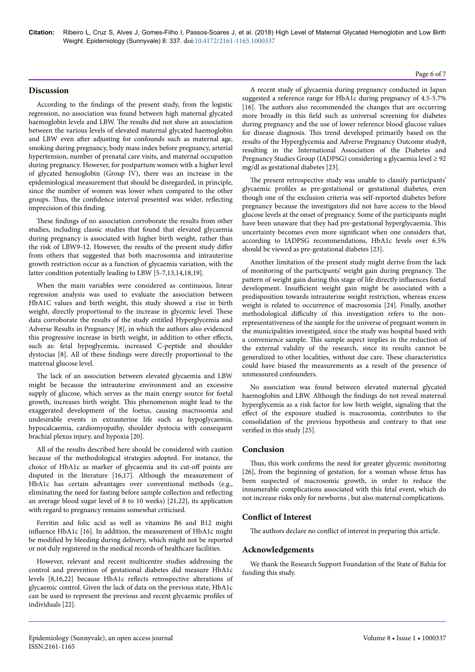**Citation:** Ribeiro L, Cruz S, Alves J, Gomes-Filho I, Passos-Soares J, et al. (2018) High Level of Maternal Glycated Hemoglobin and Low Birth Weight. Epidemiology (Sunnyvale) 8: 337. doi:10.4172/2161-1165.1000337

## **Discussion**

According to the findings of the present study, from the logistic regression, no association was found between high maternal glycated haemoglobin levels and LBW. Нe results did not show an association between the various levels of elevated maternal glycated haemoglobin and LBW even after adjusting for confounds such as maternal age, smoking during pregnancy, body mass index before pregnancy, arterial hypertension, number of prenatal care visits, and maternal occupation during pregnancy. However, for postpartum women with a higher level of glycated hemoglobin (Group IV), there was an increase in the epidemiological measurement that should be disregarded, in principle, since the number of women was lower when compared to the other groups. Thus, the confidence interval presented was wider, reflecting imprecision of this finding.

These findings of no association corroborate the results from other studies, including classic studies that found that elevated glycaemia during pregnancy is associated with higher birth weight, rather than the risk of LBW9-12. However, the results of the present study differ from others that suggested that both macrosomia and intrauterine growth restriction occur as a function of glycaemia variation, with the latter condition potentially leading to LBW [5-7,13,14,18,19].

When the main variables were considered as continuous, linear regression analysis was used to evaluate the association between HbA1C values and birth weight, this study showed a rise in birth weight, directly proportional to the increase in glycemic level. Нese data corroborate the results of the study entitled Hyperglycemia and Adverse Results in Pregnancy [8], in which the authors also evidenced this progressive increase in birth weight, in addition to other effects, such as: fetal hypoglycemia, increased C-peptide and shoulder dystocias [8]. All of these findings were directly proportional to the maternal glucose level.

The lack of an association between elevated glycaemia and LBW might be because the intrauterine environment and an excessive supply of glucose, which serves as the main energy source for foetal growth, increases birth weight. This phenomenon might lead to the exaggerated development of the foetus, causing macrosomia and undesirable events in extrauterine life such as hypoglycaemia, hypocalcaemia, cardiomyopathy, shoulder dystocia with consequent brachial plexus injury, and hypoxia [20].

All of the results described here should be considered with caution because of the methodological strategies adopted. For instance, the choice of HbA1c as marker of glycaemia and its cut-off points are disputed in the literature [16,17]. Although the measurement of HbA1c has certain advantages over conventional methods (e.g., eliminating the need for fasting before sample collection and reflecting an average blood sugar level of 8 to 10 weeks) [21,22], its application with regard to pregnancy remains somewhat criticised.

Ferritin and folic acid as well as vitamins B6 and B12 might influence HbA1c [16]. In addition, the measurement of HbA1c might be modified by bleeding during delivery, which might not be reported or not duly registered in the medical records of healthcare facilities.

However, relevant and recent multicentre studies addressing the control and prevention of gestational diabetes did measure HbA1c levels [8,16,22] because HbA1c reflects retrospective alterations of glycaemic control. Given the lack of data on the previous state, HbA1c can be used to represent the previous and recent glycaemic profiles of individuals [22].

A recent study of glycaemia during pregnancy conducted in Japan suggested a reference range for HbA1c during pregnancy of 4.5-5.7% [16]. The authors also recommended the changes that are occurring more broadly in this field such as universal screening for diabetes during pregnancy and the use of lower reference blood glucose values for disease diagnosis. This trend developed primarily based on the results of the Hyperglycemia and Adverse Pregnancy Outcome study8, resulting in the International Association of the Diabetes and Pregnancy Studies Group (IADPSG) considering a glycaemia level ≥ 92 mg/dl as gestational diabetes [23].

The present retrospective study was unable to classify participants' glycaemic profiles as pre-gestational or gestational diabetes, even though one of the exclusion criteria was self-reported diabetes before pregnancy because the investigators did not have access to the blood glucose levels at the onset of pregnancy. Some of the participants might have been unaware that they had pre-gestational hyperglycaemia. This uncertainty becomes even more significant when one considers that, according to IADPSG recommendations, HbA1c levels over 6.5% should be viewed as pre-gestational diabetes [23].

Another limitation of the present study might derive from the lack of monitoring of the participants' weight gain during pregnancy. Нe pattern of weight gain during this stage of life directly influences foetal development. Insufficient weight gain might be associated with a predisposition towards intrauterine weight restriction, whereas excess weight is related to occurrence of macrosomia [24]. Finally, another methodological difficulty of this investigation refers to the nonrepresentativeness of the sample for the universe of pregnant women in the municipalities investigated, since the study was hospital based with a convenience sample. This sample aspect implies in the reduction of the external validity of the research, since its results cannot be generalized to other localities, without due care. Нese characteristics could have biased the measurements as a result of the presence of unmeasured confounders.

No association was found between elevated maternal glycated haemoglobin and LBW. Although the findings do not reveal maternal hyperglycemia as a risk factor for low birth weight, signaling that the effect of the exposure studied is macrosomia, contributes to the consolidation of the previous hypothesis and contrary to that one verified in this study [25].

## **Conclusion**

Thus, this work confirms the need for greater glycemic monitoring [26], from the beginning of gestation, for a woman whose fetus has been suspected of macrosomic growth, in order to reduce the innumerable complications associated with this fetal event, which do not increase risks only for newborns , but also maternal complications.

## **Conflict of Interest**

The authors declare no conflict of interest in preparing this article.

### **Acknowledgements**

We thank the Research Support Foundation of the State of Bahia for funding this study.

## Page 6 of 7